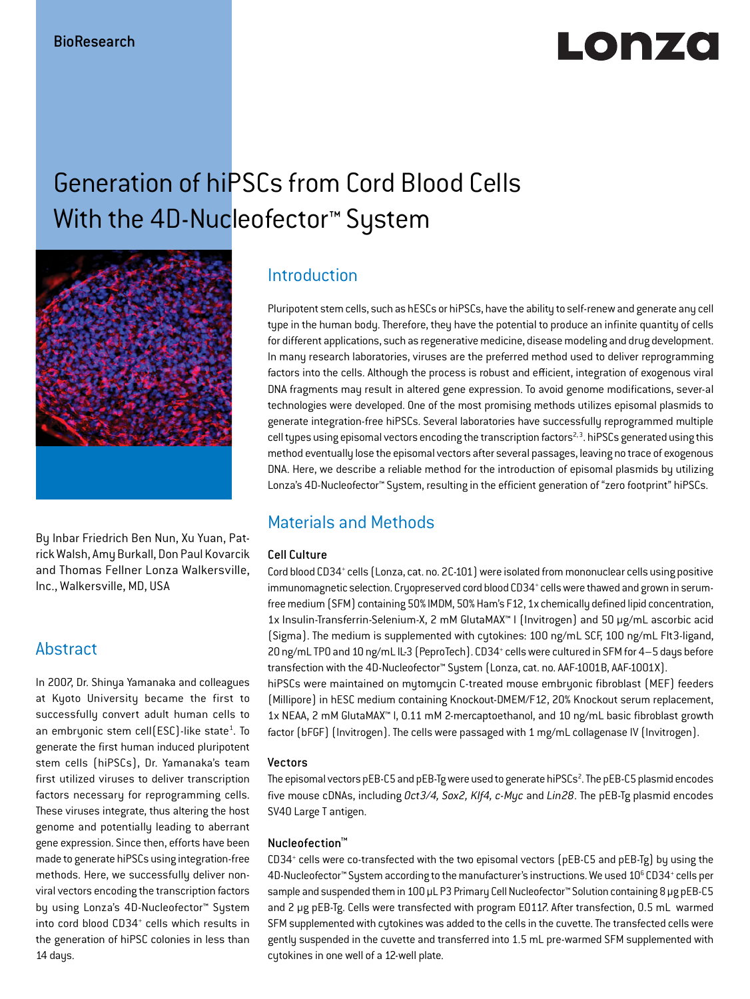# LONZO

## Generation of hiPSCs from Cord Blood Cells With the 4D-Nucleofector<sup>™</sup> System



By Inbar Friedrich Ben Nun, Xu Yuan, Patrick Walsh, Amy Burkall, Don Paul Kovarcik and Thomas Fellner Lonza Walkersville, Inc., Walkersville, MD, USA

## Abstract

In 2007, Dr. Shinya Yamanaka and colleagues at Kyoto University became the first to successfully convert adult human cells to an embryonic stem cell(ESC)-like state<sup>1</sup>. To generate the first human induced pluripotent stem cells (hiPSCs), Dr. Yamanaka's team first utilized viruses to deliver transcription factors necessary for reprogramming cells. These viruses integrate, thus altering the host genome and potentially leading to aberrant gene expression. Since then, efforts have been made to generate hiPSCs using integration-free methods. Here, we successfully deliver nonviral vectors encoding the transcription factors by using Lonza's 4D-Nucleofector™ System into cord blood CD34+ cells which results in the generation of hiPSC colonies in less than 14 days.

## Introduction

Pluripotent stem cells, such as hESCs or hiPSCs, have the ability to self-renew and generate any cell type in the human body. Therefore, they have the potential to produce an infinite quantity of cells for different applications, such as regenerative medicine, disease modeling and drug development. In many research laboratories, viruses are the preferred method used to deliver reprogramming factors into the cells. Although the process is robust and efficient, integration of exogenous viral DNA fragments may result in altered gene expression. To avoid genome modifications, sever-al technologies were developed. One of the most promising methods utilizes episomal plasmids to generate integration-free hiPSCs. Several laboratories have successfully reprogrammed multiple cell types using episomal vectors encoding the transcription factors<sup>2, 3</sup>. hiPSCs generated using this method eventually lose the episomal vectors after several passages, leaving no trace of exogenous DNA. Here, we describe a reliable method for the introduction of episomal plasmids by utilizing Lonza's 4D-Nucleofector™ System, resulting in the efficient generation of "zero footprint" hiPSCs.

## Materials and Methods

#### Cell Culture

Cord blood CD34<sup>+</sup> cells (Lonza, cat. no. 2C-101) were isolated from mononuclear cells using positive immunomagnetic selection. Cryopreserved cord blood CD34<sup>+</sup> cells were thawed and grown in serumfree medium (SFM) containing 50% IMDM, 50% Ham's F12, 1x chemically defined lipid concentration, 1x Insulin-Transferrin-Selenium-X, 2 mM GlutaMAX™ I (Invitrogen) and 50 µg/mL ascorbic acid (Sigma). The medium is supplemented with cytokines: 100 ng/mL SCF, 100 ng/mL Flt3-ligand, 20 ng/mL TP0 and 10 ng/mL IL-3 (PeproTech). CD34<sup>+</sup> cells were cultured in SFM for 4-5 days before transfection with the 4D-Nucleofector™ Sustem (Lonza, cat. no. AAF-1001B, AAF-1001X). hiPSCs were maintained on mytomycin C-treated mouse embryonic fibroblast (MEF) feeders

(Millipore) in hESC medium containing Knockout-DMEM/F12, 20% Knockout serum replacement, 1x NEAA, 2 mM GlutaMAX™ I, 0.11 mM 2-mercaptoethanol, and 10 ng/mL basic fibroblast growth factor (bFGF) (Invitrogen). The cells were passaged with 1 mg/mL collagenase IV (Invitrogen).

#### Vectors

The episomal vectors pEB-C5 and pEB-Tg were used to generate hiPSCs<sup>2</sup>. The pEB-C5 plasmid encodes five mouse cDNAs, including *Oct3/4, Sox2, Klf4, c-Myc* and *Lin28*. The pEB-Tg plasmid encodes SV40 Large T antigen.

#### Nucleofection™

CD34+ cells were co-transfected with the two episomal vectors (pEB-C5 and pEB-Tg) by using the 4D-Nucleofector™ System according to the manufacturer's instructions. We used 10<sup>6</sup> CD34<sup>+</sup> cells per sample and suspended them in 100 µL P3 Primary Cell Nucleofector™ Solution containing 8 µg pEB-C5 and 2 µg pEB-Tg. Cells were transfected with program EO117. After transfection, 0.5 mL warmed SFM supplemented with cytokines was added to the cells in the cuvette. The transfected cells were gently suspended in the cuvette and transferred into 1.5 mL pre-warmed SFM supplemented with cytokines in one well of a 12-well plate.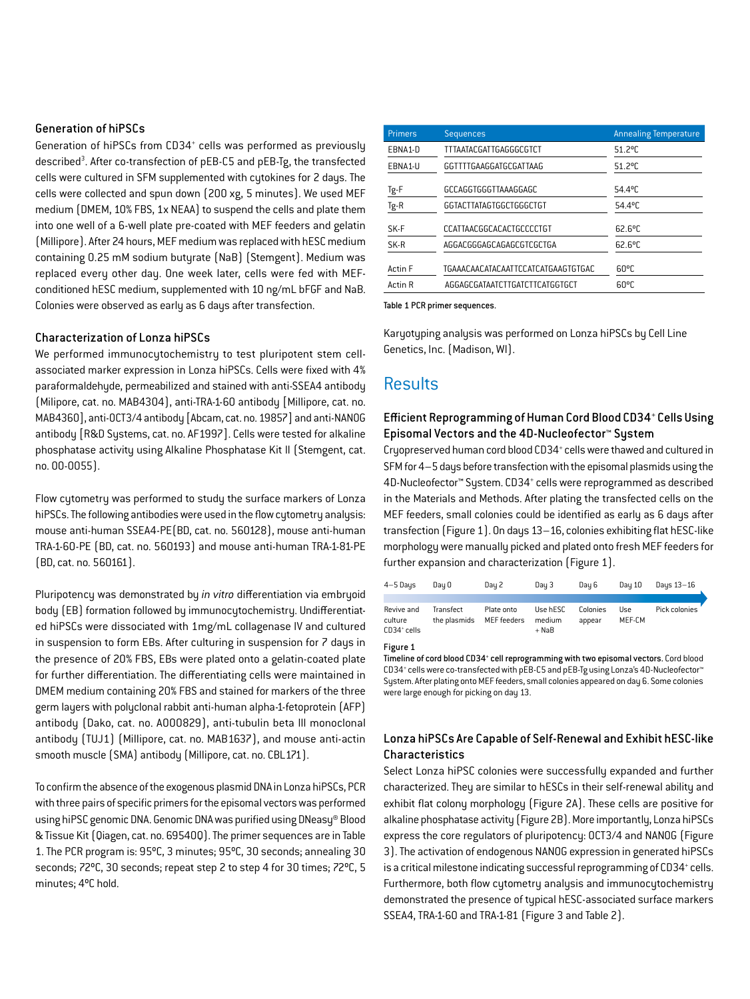#### Generation of hiPSCs

Generation of hiPSCs from CD34<sup>+</sup> cells was performed as previously described<sup>3</sup>. After co-transfection of pEB-C5 and pEB-Tg, the transfected cells were cultured in SFM supplemented with cytokines for 2 days. The cells were collected and spun down (200 xg, 5 minutes). We used MEF medium (DMEM, 10% FBS, 1x NEAA) to suspend the cells and plate them into one well of a 6-well plate pre-coated with MEF feeders and gelatin (Millipore). After 24 hours, MEF medium was replaced with hESC medium containing 0.25 mM sodium butyrate (NaB) (Stemgent). Medium was replaced every other day. One week later, cells were fed with MEFconditioned hESC medium, supplemented with 10 ng/mL bFGF and NaB. Colonies were observed as early as 6 days after transfection.

#### Characterization of Lonza hiPSCs

We performed immunocytochemistry to test pluripotent stem cellassociated marker expression in Lonza hiPSCs. Cells were fixed with 4% paraformaldehyde, permeabilized and stained with anti-SSEA4 antibody (Milipore, cat. no. MAB4304), anti-TRA-1-60 antibody [Millipore, cat. no. MAB4360], anti-OCT3/4 antibody [Abcam, cat. no. 19857] and anti-NANOG antibody [R&D Systems, cat. no. AF1997]. Cells were tested for alkaline phosphatase activity using Alkaline Phosphatase Kit II (Stemgent, cat. no. 00-0055).

Flow cytometry was performed to study the surface markers of Lonza hiPSCs. The following antibodies were used in the flow cytometry analysis: mouse anti-human SSEA4-PE(BD, cat. no. 560128), mouse anti-human TRA-1-60-PE (BD, cat. no. 560193) and mouse anti-human TRA-1-81-PE (BD, cat. no. 560161).

Pluripotency was demonstrated by *in vitro* differentiation via embryoid body (EB) formation followed by immunocytochemistry. Undifferentiated hiPSCs were dissociated with 1mg/mL collagenase IV and cultured in suspension to form EBs. After culturing in suspension for 7 days in the presence of 20% FBS, EBs were plated onto a gelatin-coated plate for further differentiation. The differentiating cells were maintained in DMEM medium containing 20% FBS and stained for markers of the three germ layers with polyclonal rabbit anti-human alpha-1-fetoprotein (AFP) antibody (Dako, cat. no. A000829), anti-tubulin beta III monoclonal antibody (TUJ1) (Millipore, cat. no. MAB1637), and mouse anti-actin smooth muscle (SMA) antibody (Millipore, cat. no. CBL171).

To confirm the absence of the exogenous plasmid DNA in Lonza hiPSCs, PCR with three pairs of specific primers for the episomal vectors was performed using hiPSC genomic DNA. Genomic DNA was purified using DNeasy® Blood & Tissue Kit (Qiagen, cat. no. 69540Q). The primer sequences are in Table 1. The PCR program is: 95ºC, 3 minutes; 95ºC, 30 seconds; annealing 30 seconds; 72ºC, 30 seconds; repeat step 2 to step 4 for 30 times; 72ºC, 5 minutes; 4ºC hold.

| <b>Primers</b>     | <b>Sequences</b>                   | <b>Annealing Temperature</b> |
|--------------------|------------------------------------|------------------------------|
| EBNA1-D            | TTTAATACGATTGAGGGCGTCT             | $51.2^{\circ}$ C             |
| EBNA1-U            | GGTTTTGAAGGATGCGATTAAG             | $51.2^{\circ}$ C             |
| Tg-F               | GCCAGGTGGGTTAAAGGAGC               | 54.4°C                       |
| Tg-R               | GGTACTTATAGTGGCTGGGCTGT            | 54.4°C                       |
| SK-F               | CCATTAACGGCACACTGCCCCTGT           | $62.6^{\circ}$ C             |
| SK-R               | AGGACGGGAGCAGAGCGTCGCTGA           | $62.6^{\circ}$ C             |
| Actin <sub>F</sub> | TGAAACAACATACAATTCCATCATGAAGTGTGAC | $60^{\circ}$ C               |
| Actin R            | AGGAGCGATAATCTTGATCTTCATGGTGCT     | $60^{\circ}$ C               |

Table 1 PCR primer sequences.

Karyotyping analysis was performed on Lonza hiPSCs by Cell Line Genetics, Inc. (Madison, WI).

### **Results**

#### Efficient Reprogramming of Human Cord Blood CD34+ Cells Using Episomal Vectors and the 4D-Nucleofector™ System

Cryopreserved human cord blood CD34<sup>+</sup> cells were thawed and cultured in SFM for 4–5 days before transfection with the episomal plasmids using the 4D-Nucleofector™ System. CD34+ cells were reprogrammed as described in the Materials and Methods. After plating the transfected cells on the MEF feeders, small colonies could be identified as early as 6 days after transfection (Figure 1). On days 13–16, colonies exhibiting flat hESC-like morphology were manually picked and plated onto fresh MEF feeders for further expansion and characterization (Figure 1).

| $4 - 5$ Days                                     | Dau O                     | Day 2                     | Day 3                         | Dau 6              | Dau 10        | Days 13-16    |
|--------------------------------------------------|---------------------------|---------------------------|-------------------------------|--------------------|---------------|---------------|
|                                                  |                           |                           |                               |                    |               |               |
| Revive and<br>culture<br>CD34 <sup>+</sup> cells | Transfect<br>the plasmids | Plate onto<br>MEF feeders | Use hESC<br>medium<br>$+$ NaB | Colonies<br>appear | Use<br>MEF-CM | Pick colonies |

Figure 1

Timeline of cord blood CD34<sup>+</sup> cell reprogramming with two episomal vectors. Cord blood CD34+ cells were co-transfected with pEB-C5 and pEB-Tg using Lonza's 4D-Nucleofector™ System. After plating onto MEF feeders, small colonies appeared on day 6. Some colonies were large enough for picking on day 13.

#### Lonza hiPSCs Are Capable of Self-Renewal and Exhibit hESC-like Characteristics

Select Lonza hiPSC colonies were successfully expanded and further characterized. They are similar to hESCs in their self-renewal ability and exhibit flat colony morphology (Figure 2A). These cells are positive for alkaline phosphatase activity (Figure 2B). More importantly, Lonza hiPSCs express the core regulators of pluripotency: OCT3/4 and NANOG (Figure 3). The activation of endogenous NANOG expression in generated hiPSCs is a critical milestone indicating successful reprogramming of CD34+ cells. Furthermore, both flow cytometry analysis and immunocytochemistry demonstrated the presence of typical hESC-associated surface markers SSEA4, TRA-1-60 and TRA-1-81 (Figure 3 and Table 2).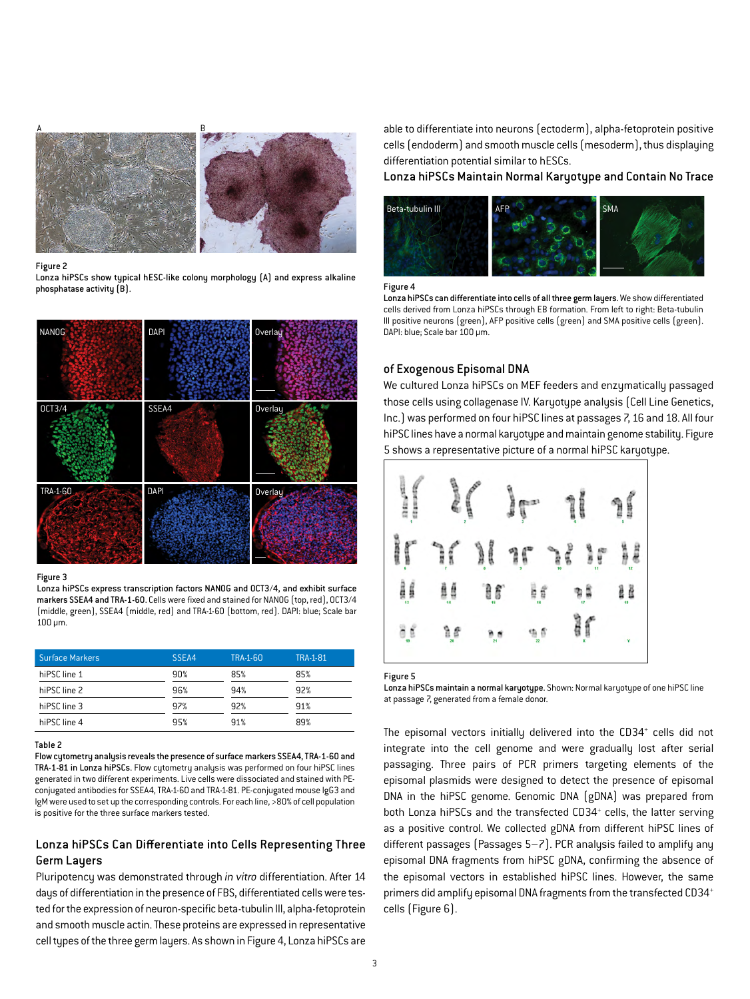

#### Figure 2

Lonza hiPSCs show typical hESC-like colony morphology (A) and express alkaline phosphatase activity (B).



#### Figure 3

Lonza hiPSCs express transcription factors NANOG and OCT3/4, and exhibit surface markers SSEA4 and TRA-1-60. Cells were fixed and stained for NANOG (top, red), OCT3/4 (middle, green), SSEA4 (middle, red) and TRA-1-60 (bottom, red). DAPI: blue; Scale bar 100 µm.

| <b>Surface Markers</b> | SSEA4 | TRA-1-60 | <b>TRA-1-81</b> |
|------------------------|-------|----------|-----------------|
| hiPSC line 1           | 90%   | 85%      | 85%             |
| hiPSC line 2           | 96%   | 94%      | 92%             |
| hiPSC line 3           | 97%   | 92%      | 91%             |
| hiPSC line 4           | 95%   | 91%      | 89%             |

#### Table 2

Flow cytometry analysis reveals the presence of surface markers SSEA4, TRA-1-60 and TRA-1-81 in Lonza hiPSCs. Flow cytometry analysis was performed on four hiPSC lines generated in two different experiments. Live cells were dissociated and stained with PEconjugated antibodies for SSEA4, TRA-1-60 and TRA-1-81. PE-conjugated mouse IgG3 and IgM were used to set up the corresponding controls. For each line, >80% of cell population is positive for the three surface markers tested.

#### Lonza hiPSCs Can Differentiate into Cells Representing Three Germ Layers

Pluripotency was demonstrated through *in vitro* differentiation. After 14 days of differentiation in the presence of FBS, differentiated cells were tested for the expression of neuron-specific beta-tubulin III, alpha-fetoprotein and smooth muscle actin. These proteins are expressed in representative cell types of the three germ layers. As shown in Figure 4, Lonza hiPSCs are

able to differentiate into neurons (ectoderm), alpha-fetoprotein positive cells (endoderm) and smooth muscle cells (mesoderm), thus displaying differentiation potential similar to hESCs.

Lonza hiPSCs Maintain Normal Karyotype and Contain No Trace



Figure 4

Lonza hiPSCs can differentiate into cells of all three germ layers. We show differentiated cells derived from Lonza hiPSCs through EB formation. From left to right: Beta-tubulin III positive neurons (green), AFP positive cells (green) and SMA positive cells (green). DAPI: blue; Scale bar 100 µm.

#### of Exogenous Episomal DNA

We cultured Lonza hiPSCs on MEF feeders and enzymatically passaged those cells using collagenase IV. Karyotype analysis (Cell Line Genetics, Inc.) was performed on four hiPSC lines at passages 7, 16 and 18. All four hiPSC lines have a normal karyotype and maintain genome stability. Figure 5 shows a representative picture of a normal hiPSC karyotype.



Figure 5

Lonza hiPSCs maintain a normal karyotype. Shown: Normal karyotype of one hiPSC line at passage 7, generated from a female donor.

The episomal vectors initially delivered into the CD34<sup>+</sup> cells did not integrate into the cell genome and were gradually lost after serial passaging. Three pairs of PCR primers targeting elements of the episomal plasmids were designed to detect the presence of episomal DNA in the hiPSC genome. Genomic DNA (gDNA) was prepared from both Lonza hiPSCs and the transfected CD34<sup>+</sup> cells, the latter serving as a positive control. We collected gDNA from different hiPSC lines of different passages (Passages 5–7). PCR analysis failed to amplify any episomal DNA fragments from hiPSC gDNA, confirming the absence of the episomal vectors in established hiPSC lines. However, the same primers did amplify episomal DNA fragments from the transfected CD34+ cells (Figure 6).